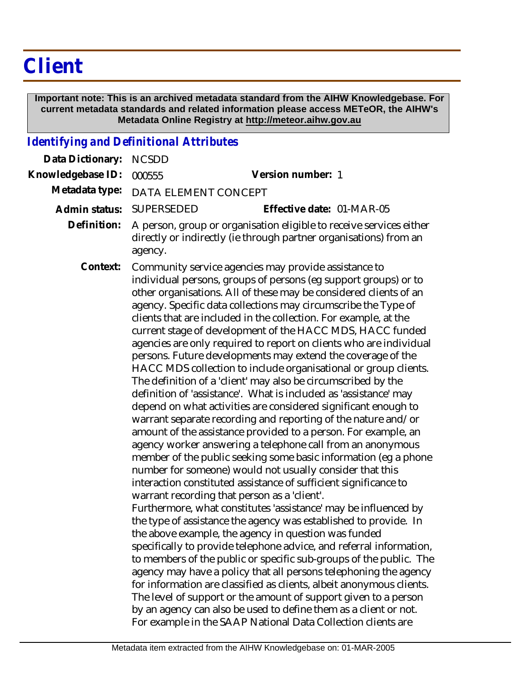# **Client**

 **Important note: This is an archived metadata standard from the AIHW Knowledgebase. For current metadata standards and related information please access METeOR, the AIHW's Metadata Online Registry at http://meteor.aihw.gov.au**

### *Identifying and Definitional Attributes*

| Data Dictionary:  | <b>NCSDD</b>                                                                                                                                                                                                                                                                                                                                                                                                                                                                                                                                                                                                                                                                                                                                                                                                                                                                                                                                                                                                                                                                                                                                                                                                                                                                                                                                                                                                                                                                                                                                                                                                                                                                                                                                                                                                                                                                                                                                                      |
|-------------------|-------------------------------------------------------------------------------------------------------------------------------------------------------------------------------------------------------------------------------------------------------------------------------------------------------------------------------------------------------------------------------------------------------------------------------------------------------------------------------------------------------------------------------------------------------------------------------------------------------------------------------------------------------------------------------------------------------------------------------------------------------------------------------------------------------------------------------------------------------------------------------------------------------------------------------------------------------------------------------------------------------------------------------------------------------------------------------------------------------------------------------------------------------------------------------------------------------------------------------------------------------------------------------------------------------------------------------------------------------------------------------------------------------------------------------------------------------------------------------------------------------------------------------------------------------------------------------------------------------------------------------------------------------------------------------------------------------------------------------------------------------------------------------------------------------------------------------------------------------------------------------------------------------------------------------------------------------------------|
| Knowledgebase ID: | Version number: 1<br>000555                                                                                                                                                                                                                                                                                                                                                                                                                                                                                                                                                                                                                                                                                                                                                                                                                                                                                                                                                                                                                                                                                                                                                                                                                                                                                                                                                                                                                                                                                                                                                                                                                                                                                                                                                                                                                                                                                                                                       |
| Metadata type:    | DATA ELEMENT CONCEPT                                                                                                                                                                                                                                                                                                                                                                                                                                                                                                                                                                                                                                                                                                                                                                                                                                                                                                                                                                                                                                                                                                                                                                                                                                                                                                                                                                                                                                                                                                                                                                                                                                                                                                                                                                                                                                                                                                                                              |
| Admin status:     | SUPERSEDED<br>Effective date: 01-MAR-05                                                                                                                                                                                                                                                                                                                                                                                                                                                                                                                                                                                                                                                                                                                                                                                                                                                                                                                                                                                                                                                                                                                                                                                                                                                                                                                                                                                                                                                                                                                                                                                                                                                                                                                                                                                                                                                                                                                           |
| Definition:       | A person, group or organisation eligible to receive services either<br>directly or indirectly (ie through partner organisations) from an<br>agency.                                                                                                                                                                                                                                                                                                                                                                                                                                                                                                                                                                                                                                                                                                                                                                                                                                                                                                                                                                                                                                                                                                                                                                                                                                                                                                                                                                                                                                                                                                                                                                                                                                                                                                                                                                                                               |
| Context:          | Community service agencies may provide assistance to<br>individual persons, groups of persons (eg support groups) or to<br>other organisations. All of these may be considered clients of an<br>agency. Specific data collections may circumscribe the Type of<br>clients that are included in the collection. For example, at the<br>current stage of development of the HACC MDS, HACC funded<br>agencies are only required to report on clients who are individual<br>persons. Future developments may extend the coverage of the<br>HACC MDS collection to include organisational or group clients.<br>The definition of a 'client' may also be circumscribed by the<br>definition of 'assistance'. What is included as 'assistance' may<br>depend on what activities are considered significant enough to<br>warrant separate recording and reporting of the nature and/or<br>amount of the assistance provided to a person. For example, an<br>agency worker answering a telephone call from an anonymous<br>member of the public seeking some basic information (eg a phone<br>number for someone) would not usually consider that this<br>interaction constituted assistance of sufficient significance to<br>warrant recording that person as a 'client'.<br>Furthermore, what constitutes 'assistance' may be influenced by<br>the type of assistance the agency was established to provide. In<br>the above example, the agency in question was funded<br>specifically to provide telephone advice, and referral information,<br>to members of the public or specific sub-groups of the public. The<br>agency may have a policy that all persons telephoning the agency<br>for information are classified as clients, albeit anonymous clients.<br>The level of support or the amount of support given to a person<br>by an agency can also be used to define them as a client or not.<br>For example in the SAAP National Data Collection clients are |